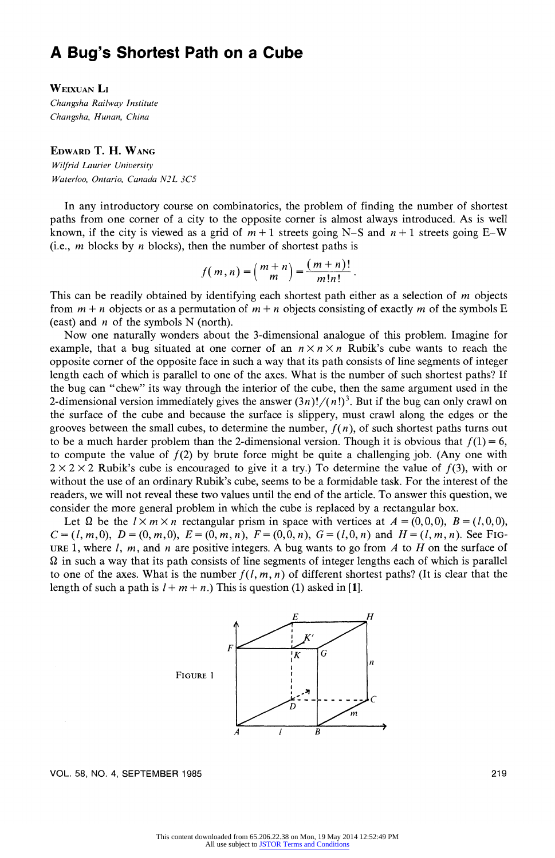# A Bug's Shortest Path on a Cube

## WEIXUAN Li

Changsha Railway Institute Changsha, Hunan, China

# EDWARD T. H. WANG

Wilfrid Laurier University Waterloo, Ontario, Canada N2L 3C5

In any introductory course on combinatorics, the problem of finding the number of shortest paths from one corner of a city to the opposite corner is almost always introduced. As is well known, if the city is viewed as a grid of  $m+1$  streets going N-S and  $n+1$  streets going E-W (i.e.,  *blocks by*  $*n*$  *blocks), then the number of shortest paths is* 

$$
f(m,n) = \binom{m+n}{m} = \frac{(m+n)!}{m!n!}.
$$

This can be readily obtained by identifying each shortest path either as a selection of  $m$  objects from  $m + n$  objects or as a permutation of  $m + n$  objects consisting of exactly m of the symbols E (east) and  $n$  of the symbols N (north).

Now one naturally wonders about the 3-dimensional analogue of this problem. Imagine for example, that a bug situated at one corner of an  $n \times n \times n$  Rubik's cube wants to reach the opposite corner of the opposite face in such a way that its path consists of line segments of integer length each of which is parallel to one of the axes. What is the number of such shortest paths? If the bug can "chew" its way through the interior of the cube, then the same argument used in the 2-dimensional version immediately gives the answer  $(3n)!/(n!)^3$ . But if the bug can only crawl on the surface of the cube and because the surface is slippery, must crawl along the edges or the grooves between the small cubes, to determine the number,  $f(n)$ , of such shortest paths turns out to be a much harder problem than the 2-dimensional version. Though it is obvious that  $f(1) = 6$ , to compute the value of  $f(2)$  by brute force might be quite a challenging job. (Any one with  $2 \times 2 \times 2$  Rubik's cube is encouraged to give it a try.) To determine the value of  $f(3)$ , with or without the use of an ordinary Rubik's cube, seems to be a formidable task. For the interest of the readers, we will not reveal these two values until the end of the article. To answer this question, we consider the more general problem in which the cube is replaced by a rectangular box.

Let  $\Omega$  be the  $1 \times m \times n$  rectangular prism in space with vertices at  $A = (0, 0, 0)$ ,  $B = (1, 0, 0)$ ,  $C = (l, m, 0), D = (0, m, 0), E = (0, m, n), F = (0, 0, n), G = (l, 0, n)$  and  $H = (l, m, n)$ . See FIG-URE 1, where  $l, m$ , and n are positive integers. A bug wants to go from  $A$  to  $H$  on the surface of  $\Omega$  in such a way that its path consists of line segments of integer lengths each of which is parallel to one of the axes. What is the number  $f(l, m, n)$  of different shortest paths? (It is clear that the length of such a path is  $1 + m + n$ .) This is question (1) asked in [1].



VOL. 58, NO. 4, SEPTEMBER 1985

219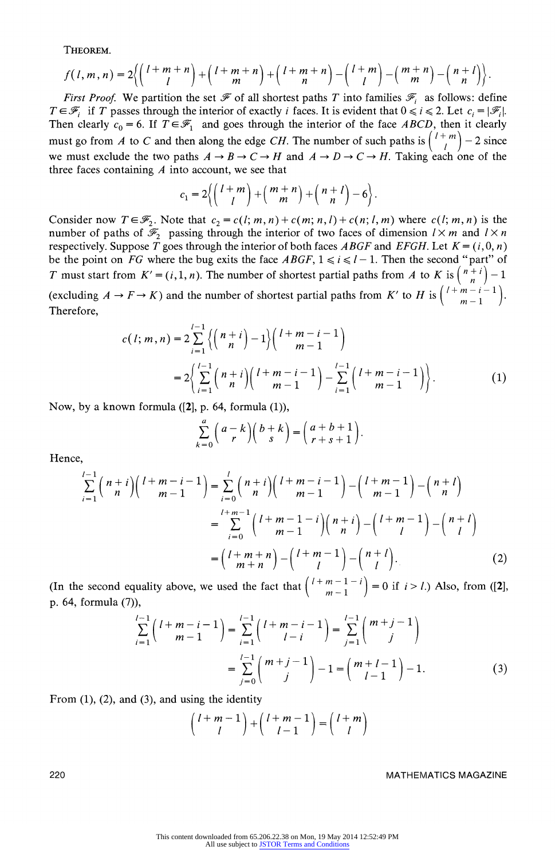THEOREM.

$$
f(l,m,n)=2\bigg\{\bigg(l+m+n\bigg)+\bigg(l+m+n\bigg)+\bigg(l+m+n\bigg)-\bigg(l+m\bigg)-\bigg(m+n\bigg)-\bigg(m+n\bigg)\bigg\}.
$$

First Proof. We partition the set  $\mathcal F$  of all shortest paths T into families  $\mathcal F_i$  as follows: define  $T \in \mathscr{F}_i$  if T passes through the interior of exactly i faces. It is evident that  $0 \le i \le 2$ . Let  $c_i = |\mathscr{F}_i|$ . Then clearly  $c_0 = 6$ . If  $T \in \mathcal{F}_1$  and goes through the interior of the face ABCD, then it clearly must go from A to C and then along the edge CH. The number of such paths is  $\binom{l+m}{l}$  – 2 since we must exclude the two paths  $A \to B \to C \to H$  and  $A \to D \to C \to H$ . Taking each one of the three faces containing  $A$  into account, we see that

$$
c_1=2\biggl\{\biggl(\,\frac{l+m}{l}\biggr)+\biggl(\,\frac{m+n}{m}\biggr)+\biggl(\,\frac{n+l}{n}\biggr)-6\biggr\}\,.
$$

Consider now  $T \in \mathcal{F}_2$ . Note that  $c_2 = c(l; m, n) + c(m; n, l) + c(n; l, m)$  where  $c(l; m, n)$  is the number of paths of  $\mathcal{F}_2$  passing through the interior of two faces of dimension  $1 \times m$  and  $1 \times n$ respectively. Suppose  $\overline{T}$  goes through the interior of both faces ABGF and EFGH. Let  $K = (i, 0, n)$ be the point on FG where the bug exits the face  $ABGF$ ,  $1 \le i \le l-1$ . Then the second "part" of T must start from  $K' = (i, 1, n)$ . The number of shortest partial paths from A to K is  $\binom{n + i}{n} - 1$ (excluding  $A \to F \to K$ ) and the number of shortest partial paths from K' to H is  $\binom{1+m-i}{m-1}$ Therefore,

$$
c(l; m, n) = 2 \sum_{i=1}^{l-1} \left\{ \binom{n+i}{n} - 1 \right\} \binom{l+m-i-1}{m-1}
$$
  
= 
$$
2 \left\{ \sum_{i=1}^{l-1} \binom{n+i}{n} \binom{l+m-i-1}{m-1} - \sum_{i=1}^{l-1} \binom{l+m-i-1}{m-1} \right\}.
$$
 (1)

Now, by a known formula ([2], p. 64, formula (1)),

$$
\sum_{k=0}^{a} {a-k \choose r} {b+k \choose s} = {a+b+1 \choose r+s+1}.
$$

Hence,

$$
\sum_{i=1}^{l-1} {n+i \choose n} {l+m-i-1 \choose m-1} = \sum_{i=0}^{l} {n+i \choose n} {l+m-i-1 \choose m-1} - {l+m-1 \choose m-1} - {n+l \choose n}
$$

$$
= \sum_{i=0}^{l+m-1} {l+m-1-i \choose m-1} {n+i \choose n} - {l+m-1 \choose l} - {n+l \choose l}
$$

$$
= {l+m+n \choose m+n} - {l+m-1 \choose l} - {n+l \choose l}.
$$
(2)

(In the second equality above, we used the fact that  $\binom{l+m-1-i}{m-1} = 0$  if  $i > l$ .) Also, from ([2], p. 64, formula (7)),

$$
\sum_{i=1}^{l-1} {l+m-i-1 \choose m-1} = \sum_{i=1}^{l-1} {l+m-i-1 \choose l-i} = \sum_{j=1}^{l-1} {m+j-1 \choose j}
$$

$$
= \sum_{j=0}^{l-1} {m+j-1 \choose j} - 1 = {m+l-1 \choose l-1} - 1.
$$
(3)

From  $(1)$ ,  $(2)$ , and  $(3)$ , and using the identity

$$
\binom{l+m-1}{l} + \binom{l+m-1}{l-1} = \binom{l+m}{l}
$$

### MATHEMATICS MAGAZINE

220